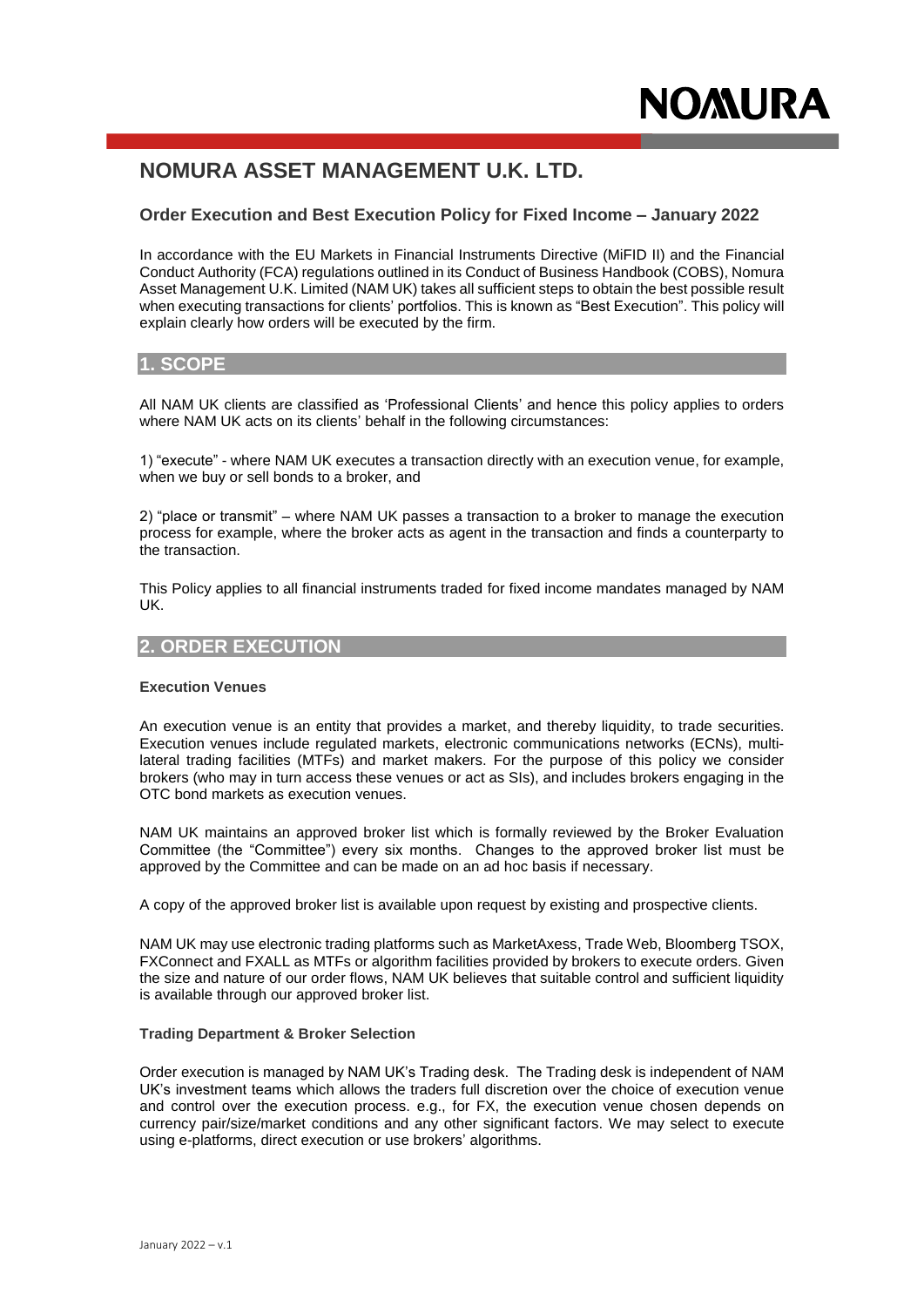# **NOMURA ASSET MANAGEMENT U.K. LTD.**

# **Order Execution and Best Execution Policy for Fixed Income – January 2022**

In accordance with the EU Markets in Financial Instruments Directive (MiFID II) and the Financial Conduct Authority (FCA) regulations outlined in its Conduct of Business Handbook (COBS), Nomura Asset Management U.K. Limited (NAM UK) takes all sufficient steps to obtain the best possible result when executing transactions for clients' portfolios. This is known as "Best Execution". This policy will explain clearly how orders will be executed by the firm.

# **1. SCOPE**

All NAM UK clients are classified as 'Professional Clients' and hence this policy applies to orders where NAM UK acts on its clients' behalf in the following circumstances:

1) "execute" - where NAM UK executes a transaction directly with an execution venue, for example, when we buy or sell bonds to a broker, and

2) "place or transmit" – where NAM UK passes a transaction to a broker to manage the execution process for example, where the broker acts as agent in the transaction and finds a counterparty to the transaction.

This Policy applies to all financial instruments traded for fixed income mandates managed by NAM UK.

# **2. ORDER EXECUTION**

#### **Execution Venues**

An execution venue is an entity that provides a market, and thereby liquidity, to trade securities. Execution venues include regulated markets, electronic communications networks (ECNs), multilateral trading facilities (MTFs) and market makers. For the purpose of this policy we consider brokers (who may in turn access these venues or act as SIs), and includes brokers engaging in the OTC bond markets as execution venues.

NAM UK maintains an approved broker list which is formally reviewed by the Broker Evaluation Committee (the "Committee") every six months. Changes to the approved broker list must be approved by the Committee and can be made on an ad hoc basis if necessary.

A copy of the approved broker list is available upon request by existing and prospective clients.

NAM UK may use electronic trading platforms such as MarketAxess, Trade Web, Bloomberg TSOX, FXConnect and FXALL as MTFs or algorithm facilities provided by brokers to execute orders. Given the size and nature of our order flows, NAM UK believes that suitable control and sufficient liquidity is available through our approved broker list.

#### **Trading Department & Broker Selection**

Order execution is managed by NAM UK's Trading desk. The Trading desk is independent of NAM UK's investment teams which allows the traders full discretion over the choice of execution venue and control over the execution process. e.g., for FX, the execution venue chosen depends on currency pair/size/market conditions and any other significant factors. We may select to execute using e-platforms, direct execution or use brokers' algorithms.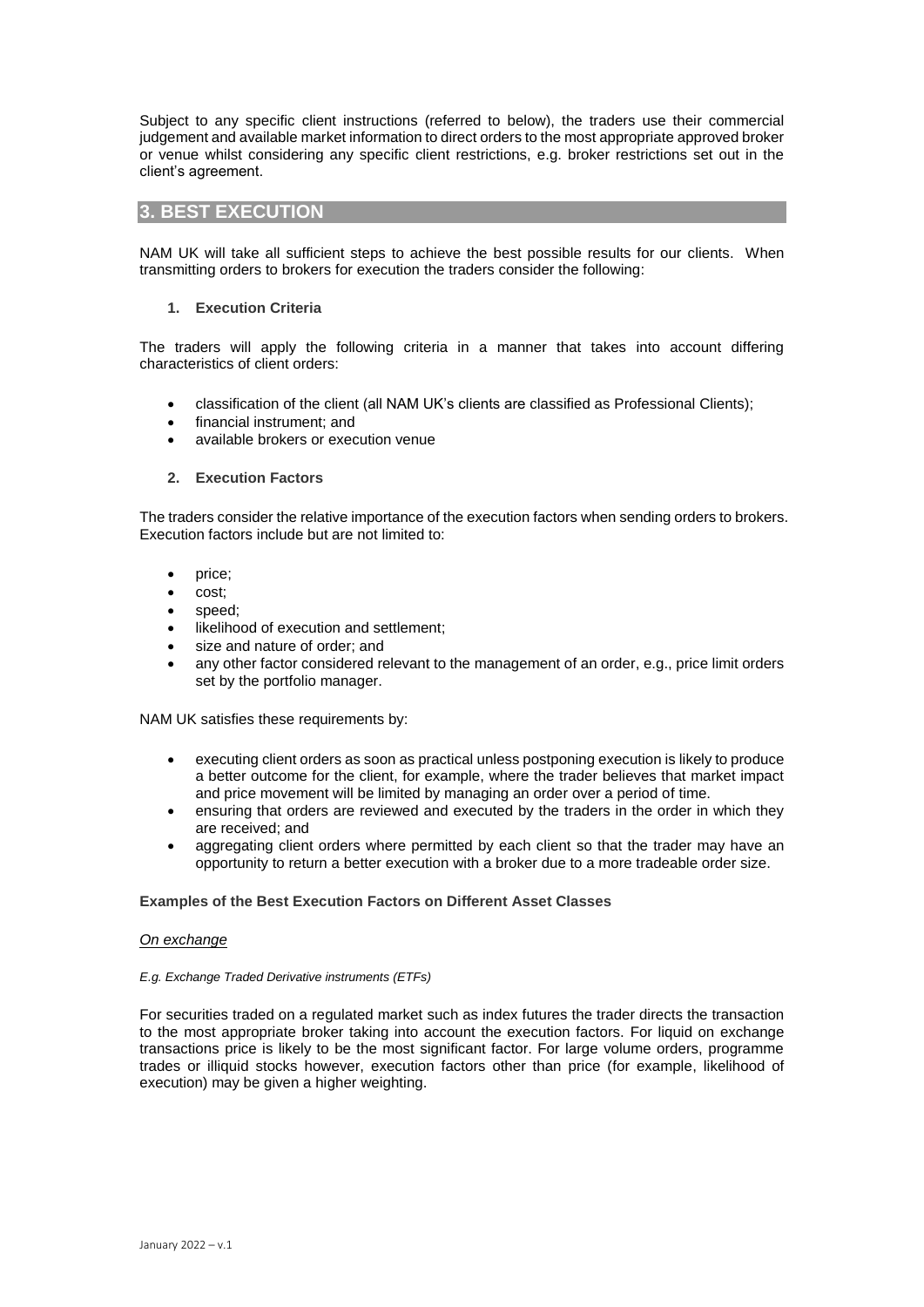Subject to any specific client instructions (referred to below), the traders use their commercial judgement and available market information to direct orders to the most appropriate approved broker or venue whilst considering any specific client restrictions, e.g. broker restrictions set out in the client's agreement.

### **3. BEST EXECUTION**

NAM UK will take all sufficient steps to achieve the best possible results for our clients. When transmitting orders to brokers for execution the traders consider the following:

#### **1. Execution Criteria**

The traders will apply the following criteria in a manner that takes into account differing characteristics of client orders:

- classification of the client (all NAM UK's clients are classified as Professional Clients);
- financial instrument; and
- available brokers or execution venue

#### **2. Execution Factors**

The traders consider the relative importance of the execution factors when sending orders to brokers. Execution factors include but are not limited to:

- price;
- cost;
- speed;
- likelihood of execution and settlement;
- size and nature of order; and
- any other factor considered relevant to the management of an order, e.g., price limit orders set by the portfolio manager.

NAM UK satisfies these requirements by:

- executing client orders as soon as practical unless postponing execution is likely to produce a better outcome for the client, for example, where the trader believes that market impact and price movement will be limited by managing an order over a period of time.
- ensuring that orders are reviewed and executed by the traders in the order in which they are received; and
- aggregating client orders where permitted by each client so that the trader may have an opportunity to return a better execution with a broker due to a more tradeable order size.

#### **Examples of the Best Execution Factors on Different Asset Classes**

#### *On exchange*

#### *E.g. Exchange Traded Derivative instruments (ETFs)*

For securities traded on a regulated market such as index futures the trader directs the transaction to the most appropriate broker taking into account the execution factors. For liquid on exchange transactions price is likely to be the most significant factor. For large volume orders, programme trades or illiquid stocks however, execution factors other than price (for example, likelihood of execution) may be given a higher weighting.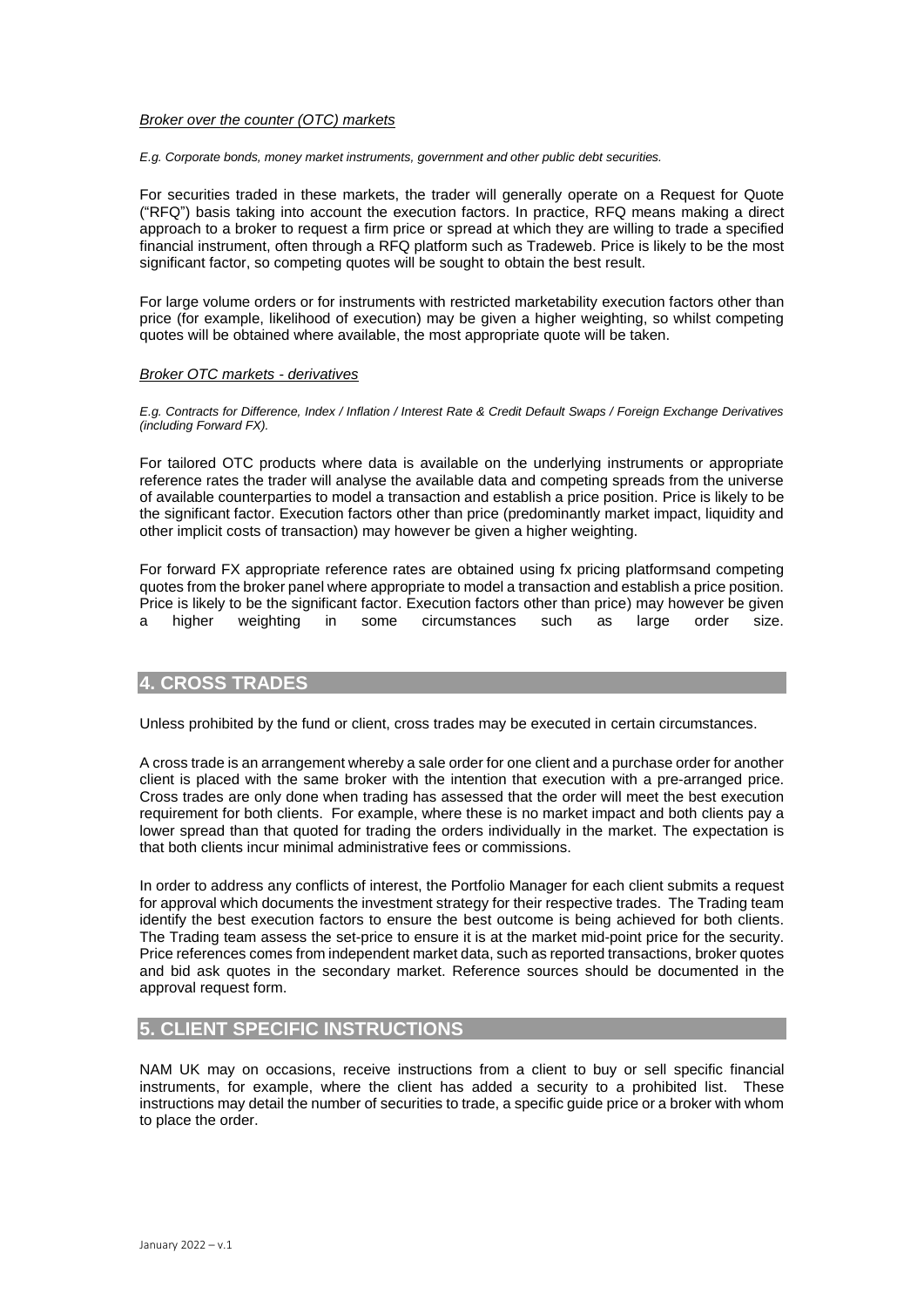#### *Broker over the counter (OTC) markets*

*E.g. Corporate bonds, money market instruments, government and other public debt securities.* 

For securities traded in these markets, the trader will generally operate on a Request for Quote ("RFQ") basis taking into account the execution factors. In practice, RFQ means making a direct approach to a broker to request a firm price or spread at which they are willing to trade a specified financial instrument, often through a RFQ platform such as Tradeweb. Price is likely to be the most significant factor, so competing quotes will be sought to obtain the best result.

For large volume orders or for instruments with restricted marketability execution factors other than price (for example, likelihood of execution) may be given a higher weighting, so whilst competing quotes will be obtained where available, the most appropriate quote will be taken.

#### *Broker OTC markets - derivatives*

*E.g. Contracts for Difference, Index / Inflation / Interest Rate & Credit Default Swaps / Foreign Exchange Derivatives (including Forward FX).*

For tailored OTC products where data is available on the underlying instruments or appropriate reference rates the trader will analyse the available data and competing spreads from the universe of available counterparties to model a transaction and establish a price position. Price is likely to be the significant factor. Execution factors other than price (predominantly market impact, liquidity and other implicit costs of transaction) may however be given a higher weighting.

For forward FX appropriate reference rates are obtained using fx pricing platformsand competing quotes from the broker panel where appropriate to model a transaction and establish a price position. Price is likely to be the significant factor. Execution factors other than price) may however be given a higher weighting in some circumstances such as large order size.

### **4. CROSS TRADES**

Unless prohibited by the fund or client, cross trades may be executed in certain circumstances.

A cross trade is an arrangement whereby a sale order for one client and a purchase order for another client is placed with the same broker with the intention that execution with a pre-arranged price. Cross trades are only done when trading has assessed that the order will meet the best execution requirement for both clients. For example, where these is no market impact and both clients pay a lower spread than that quoted for trading the orders individually in the market. The expectation is that both clients incur minimal administrative fees or commissions.

In order to address any conflicts of interest, the Portfolio Manager for each client submits a request for approval which documents the investment strategy for their respective trades. The Trading team identify the best execution factors to ensure the best outcome is being achieved for both clients. The Trading team assess the set-price to ensure it is at the market mid-point price for the security. Price references comes from independent market data, such as reported transactions, broker quotes and bid ask quotes in the secondary market. Reference sources should be documented in the approval request form.

# **5. CLIENT SPECIFIC INSTRUCTIONS**

NAM UK may on occasions, receive instructions from a client to buy or sell specific financial instruments, for example, where the client has added a security to a prohibited list. These instructions may detail the number of securities to trade, a specific guide price or a broker with whom to place the order.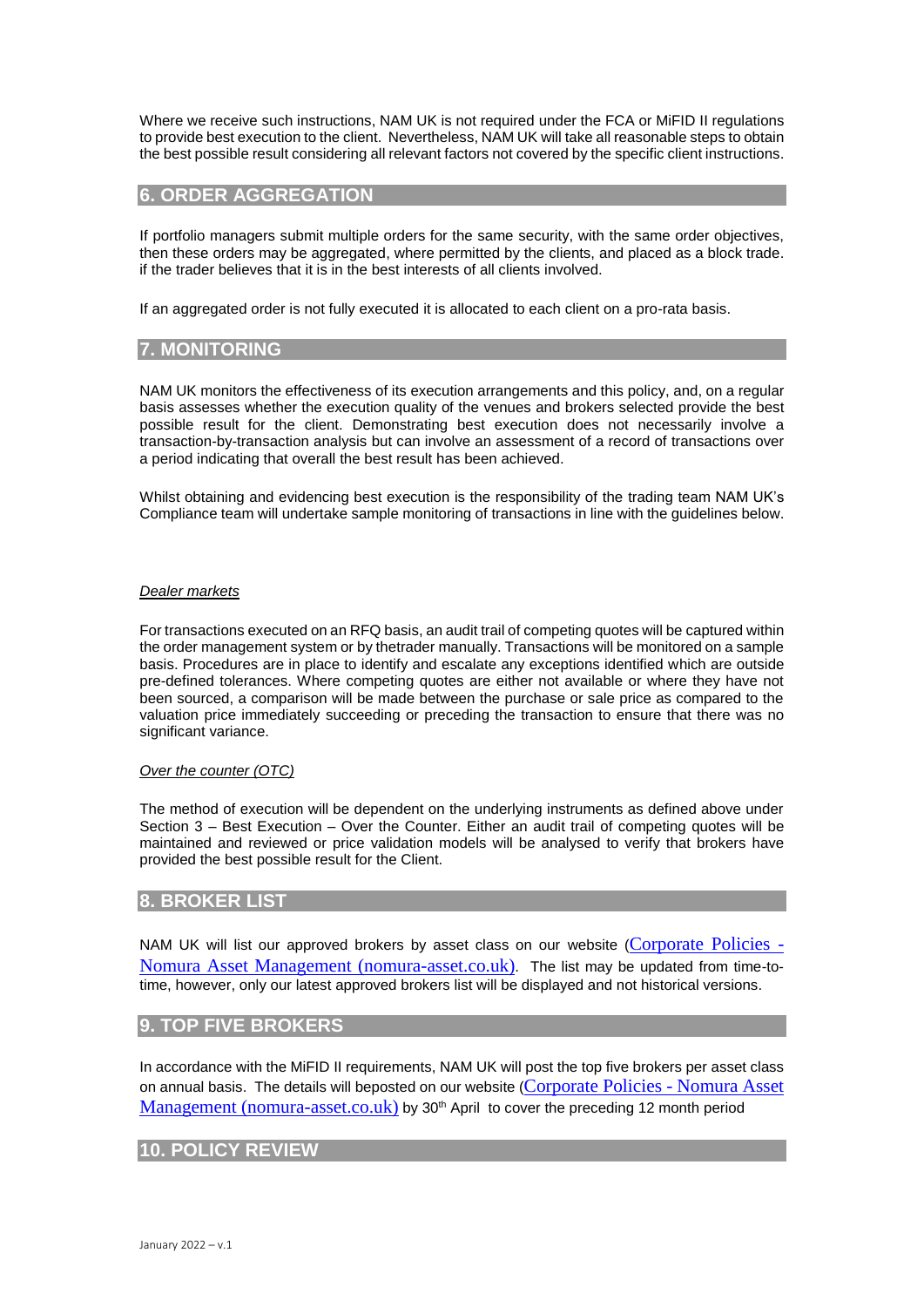Where we receive such instructions, NAM UK is not required under the FCA or MiFID II regulations to provide best execution to the client. Nevertheless, NAM UK will take all reasonable steps to obtain the best possible result considering all relevant factors not covered by the specific client instructions.

# **6. ORDER AGGREGATION**

If portfolio managers submit multiple orders for the same security, with the same order objectives, then these orders may be aggregated, where permitted by the clients, and placed as a block trade. if the trader believes that it is in the best interests of all clients involved.

If an aggregated order is not fully executed it is allocated to each client on a pro-rata basis.

# **7. MONITORING**

NAM UK monitors the effectiveness of its execution arrangements and this policy, and, on a regular basis assesses whether the execution quality of the venues and brokers selected provide the best possible result for the client. Demonstrating best execution does not necessarily involve a transaction-by-transaction analysis but can involve an assessment of a record of transactions over a period indicating that overall the best result has been achieved.

Whilst obtaining and evidencing best execution is the responsibility of the trading team NAM UK's Compliance team will undertake sample monitoring of transactions in line with the guidelines below.

#### *Dealer markets*

For transactions executed on an RFQ basis, an audit trail of competing quotes will be captured within the order management system or by thetrader manually. Transactions will be monitored on a sample basis. Procedures are in place to identify and escalate any exceptions identified which are outside pre-defined tolerances. Where competing quotes are either not available or where they have not been sourced, a comparison will be made between the purchase or sale price as compared to the valuation price immediately succeeding or preceding the transaction to ensure that there was no significant variance.

### *Over the counter (OTC)*

The method of execution will be dependent on the underlying instruments as defined above under Section 3 – Best Execution – Over the Counter. Either an audit trail of competing quotes will be maintained and reviewed or price validation models will be analysed to verify that brokers have provided the best possible result for the Client.

# **8. BROKER LIST**

NAM UK will list our approved brokers by asset class on our website ([Corporate Policies -](https://www.nomura-asset.co.uk/about-us/corporate-policies/) [Nomura Asset Management \(nomura-asset.co.uk\)](https://www.nomura-asset.co.uk/about-us/corporate-policies/). The list may be updated from time-totime, however, only our latest approved brokers list will be displayed and not historical versions.

# **9. TOP FIVE BROKERS**

In accordance with the MiFID II requirements, NAM UK will post the top five brokers per asset class on annual basis. The details will beposted on our website ([Corporate Policies -](https://www.nomura-asset.co.uk/about-us/corporate-policies/) Nomura Asset [Management \(nomura-asset.co.uk\)](https://www.nomura-asset.co.uk/about-us/corporate-policies/) by 30<sup>th</sup> April to cover the preceding 12 month period

# **10. POLICY REVIEW**